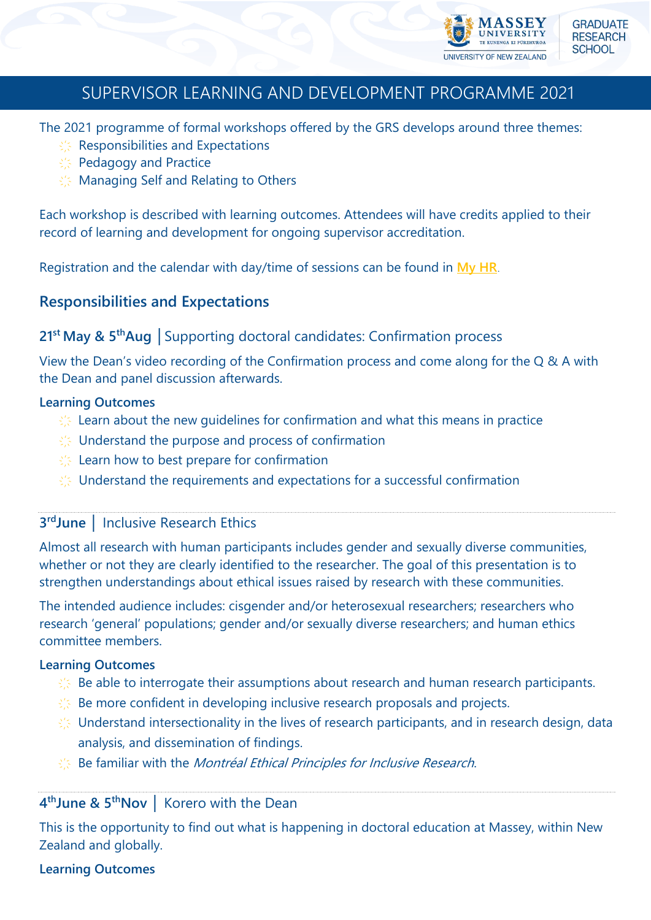

# SUPERVISOR LEARNING AND DEVELOPMENT PROGRAMME 2021

The 2021 programme of formal workshops offered by the GRS develops around three themes:

- $\frac{1}{2}$  Responsibilities and Expectations
- $\frac{1}{2}$  Pedagogy and Practice
- $\frac{1}{2}$  Managing Self and Relating to Others

Each workshop is described with learning outcomes. Attendees will have credits applied to their record of learning and development for ongoing supervisor accreditation.

Registration and the calendar with day/time of sessions can be found in **[My HR](https://myhr.massey.ac.nz/)**.

# **Responsibilities and Expectations**

## **21st May & 5thAug** │Supporting doctoral candidates: Confirmation process

View the Dean's video recording of the Confirmation process and come along for the Q & A with the Dean and panel discussion afterwards.

### **Learning Outcomes**

- $\frac{1}{2}$  Learn about the new quidelines for confirmation and what this means in practice
- $\frac{1}{2}$  Understand the purpose and process of confirmation
- $\frac{1}{2}$  Learn how to best prepare for confirmation
- $\frac{1}{2}$  Understand the requirements and expectations for a successful confirmation

## **3 rdJune** │ Inclusive Research Ethics

Almost all research with human participants includes gender and sexually diverse communities, whether or not they are clearly identified to the researcher. The goal of this presentation is to strengthen understandings about ethical issues raised by research with these communities.

The intended audience includes: cisgender and/or heterosexual researchers; researchers who research 'general' populations; gender and/or sexually diverse researchers; and human ethics committee members.

#### **Learning Outcomes**

- $\frac{1}{2}$  Be able to interrogate their assumptions about research and human research participants.
- $\frac{1}{2}$  Be more confident in developing inclusive research proposals and projects.
- $\frac{1}{2}$  Understand intersectionality in the lives of research participants, and in research design, data analysis, and dissemination of findings.
- $\mathbb{R}^n$  Be familiar with the *Montréal Ethical Principles for Inclusive Research*.

## **4 thJune & 5thNov** │ Korero with the Dean

This is the opportunity to find out what is happening in doctoral education at Massey, within New Zealand and globally.

## **Learning Outcomes**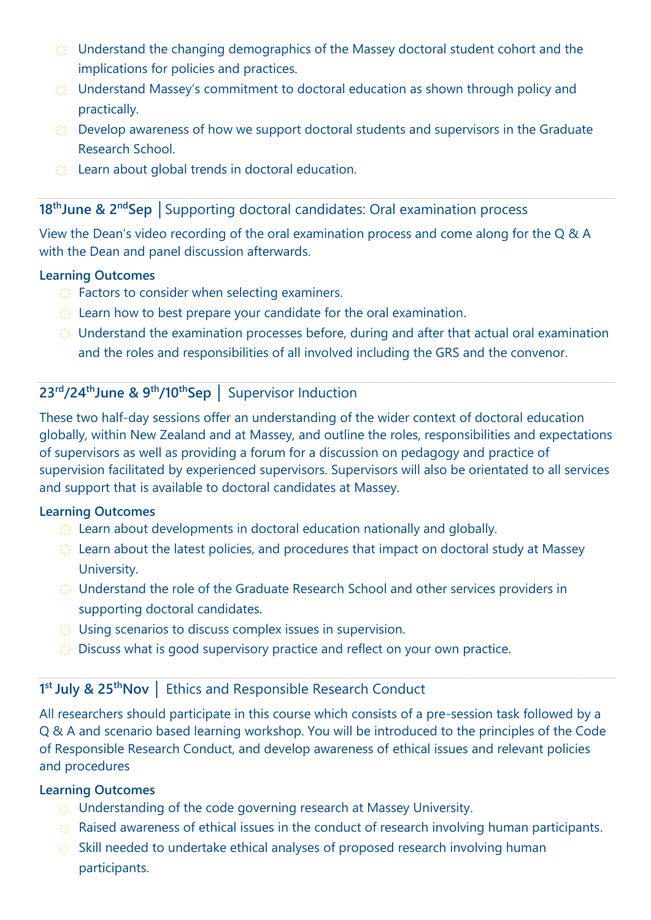- $\frac{1}{2}$  Understand the changing demographics of the Massey doctoral student cohort and the implications for policies and practices.
- $\frac{1}{2}$  Understand Massey's commitment to doctoral education as shown through policy and practically.
- $\frac{1}{2}$  Develop awareness of how we support doctoral students and supervisors in the Graduate Research School.
- $\frac{1}{2}$  Learn about global trends in doctoral education.

### **18thJune & 2ndSep** │Supporting doctoral candidates: Oral examination process

View the Dean's video recording of the oral examination process and come along for the Q & A with the Dean and panel discussion afterwards.

#### **Learning Outcomes**

- $\frac{1}{2}$  Factors to consider when selecting examiners.
- $\frac{1}{2}$  Learn how to best prepare your candidate for the oral examination.
- $\frac{1}{2}$  Understand the examination processes before, during and after that actual oral examination and the roles and responsibilities of all involved including the GRS and the convenor.

# **23rd/24thJune & 9th/10thSep** │ Supervisor Induction

These two half-day sessions offer an understanding of the wider context of doctoral education globally, within New Zealand and at Massey, and outline the roles, responsibilities and expectations of supervisors as well as providing a forum for a discussion on pedagogy and practice of supervision facilitated by experienced supervisors. Supervisors will also be orientated to all services and support that is available to doctoral candidates at Massey.

#### **Learning Outcomes**

- $\frac{1}{2}$  Learn about developments in doctoral education nationally and globally.
- $\frac{1}{2}$  Learn about the latest policies, and procedures that impact on doctoral study at Massey University.
- $\gg$  Understand the role of the Graduate Research School and other services providers in supporting doctoral candidates.
- $\frac{1}{2}$  Using scenarios to discuss complex issues in supervision.
- $\frac{1}{2}$  Discuss what is good supervisory practice and reflect on your own practice.

## **1 st July & 25thNov** │ Ethics and Responsible Research Conduct

All researchers should participate in this course which consists of a pre-session task followed by a Q & A and scenario based learning workshop. You will be introduced to the principles of the Code of Responsible Research Conduct, and develop awareness of ethical issues and relevant policies and procedures

#### **Learning Outcomes**

- $\gg$  Understanding of the code governing research at Massey University.
- $\gg$  Raised awareness of ethical issues in the conduct of research involving human participants.
- $\gg$  Skill needed to undertake ethical analyses of proposed research involving human participants.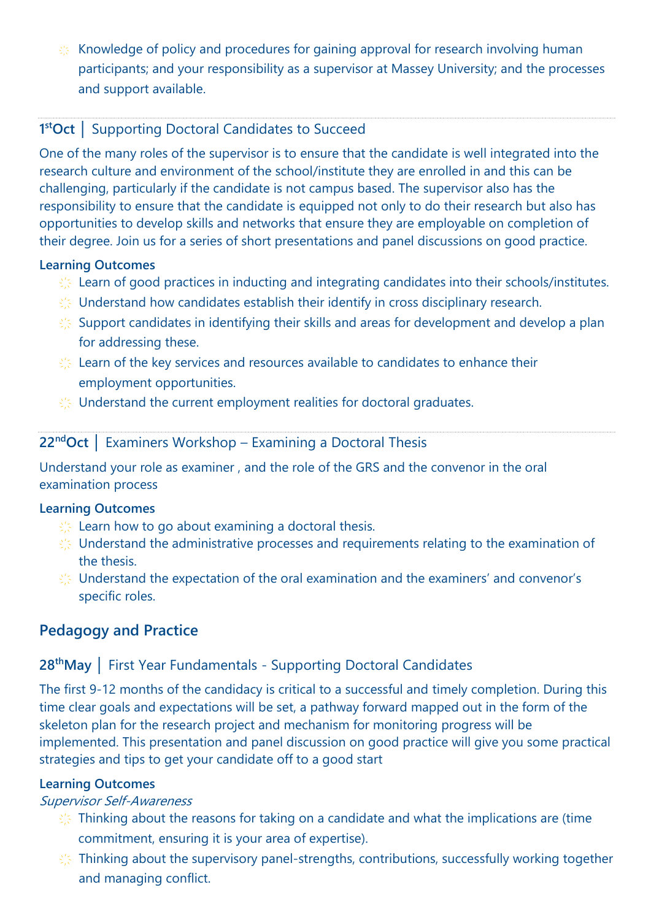$\leq$  Knowledge of policy and procedures for gaining approval for research involving human participants; and your responsibility as a supervisor at Massey University; and the processes and support available.

# **1 stOct** │ Supporting Doctoral Candidates to Succeed

One of the many roles of the supervisor is to ensure that the candidate is well integrated into the research culture and environment of the school/institute they are enrolled in and this can be challenging, particularly if the candidate is not campus based. The supervisor also has the responsibility to ensure that the candidate is equipped not only to do their research but also has opportunities to develop skills and networks that ensure they are employable on completion of their degree. Join us for a series of short presentations and panel discussions on good practice.

### **Learning Outcomes**

- $\frac{1}{2}$  Learn of good practices in inducting and integrating candidates into their schools/institutes.
- $\gg$  Understand how candidates establish their identify in cross disciplinary research.
- $\frac{1}{2}$  Support candidates in identifying their skills and areas for development and develop a plan for addressing these.
- $\frac{1}{2}$  Learn of the key services and resources available to candidates to enhance their employment opportunities.
- $\frac{1}{2}$  Understand the current employment realities for doctoral graduates.

## **22ndOct** │ Examiners Workshop – Examining a Doctoral Thesis

Understand your role as examiner , and the role of the GRS and the convenor in the oral examination process

#### **Learning Outcomes**

- $\frac{1}{2}$  Learn how to go about examining a doctoral thesis.
- $\frac{1}{2}$  Understand the administrative processes and requirements relating to the examination of the thesis.
- $\gg$  Understand the expectation of the oral examination and the examiners' and convenor's specific roles.

# **Pedagogy and Practice**

# **28thMay** │ First Year Fundamentals - Supporting Doctoral Candidates

The first 9-12 months of the candidacy is critical to a successful and timely completion. During this time clear goals and expectations will be set, a pathway forward mapped out in the form of the skeleton plan for the research project and mechanism for monitoring progress will be implemented. This presentation and panel discussion on good practice will give you some practical strategies and tips to get your candidate off to a good start

#### **Learning Outcomes**

#### Supervisor Self-Awareness

- $\frac{1}{2}$ . Thinking about the reasons for taking on a candidate and what the implications are (time commitment, ensuring it is your area of expertise).
- $\frac{1}{2}$ . Thinking about the supervisory panel-strengths, contributions, successfully working together and managing conflict.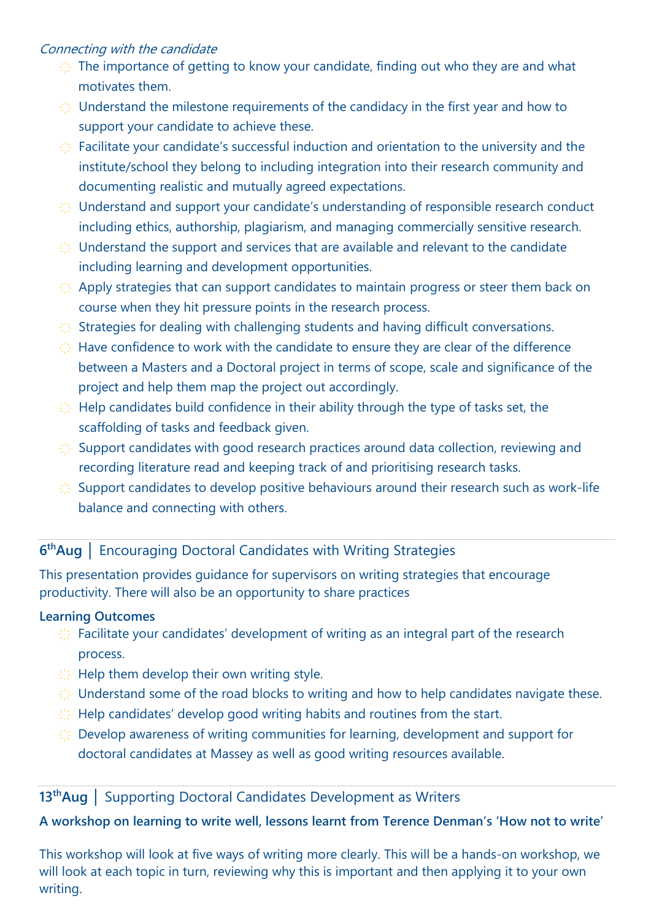### Connecting with the candidate

- $\frac{1}{2}$ . The importance of getting to know your candidate, finding out who they are and what motivates them.
- $\frac{1}{2}$  Understand the milestone requirements of the candidacy in the first year and how to support your candidate to achieve these.
- $\frac{1}{2}$  Facilitate your candidate's successful induction and orientation to the university and the institute/school they belong to including integration into their research community and documenting realistic and mutually agreed expectations.
- $\frac{1}{2}$  Understand and support your candidate's understanding of responsible research conduct including ethics, authorship, plagiarism, and managing commercially sensitive research.
- $\frac{1}{2}$  Understand the support and services that are available and relevant to the candidate including learning and development opportunities.
- $\frac{1}{2}$  Apply strategies that can support candidates to maintain progress or steer them back on course when they hit pressure points in the research process.
- $\frac{1}{2}$  Strategies for dealing with challenging students and having difficult conversations.
- $\frac{1}{2}$  Have confidence to work with the candidate to ensure they are clear of the difference between a Masters and a Doctoral project in terms of scope, scale and significance of the project and help them map the project out accordingly.
- $\frac{1}{2}$  Help candidates build confidence in their ability through the type of tasks set, the scaffolding of tasks and feedback given.
- $\frac{1}{2}$  Support candidates with good research practices around data collection, reviewing and recording literature read and keeping track of and prioritising research tasks.
- $\frac{1}{2}$  Support candidates to develop positive behaviours around their research such as work-life balance and connecting with others.

# **6 thAug** │ Encouraging Doctoral Candidates with Writing Strategies

This presentation provides guidance for supervisors on writing strategies that encourage productivity. There will also be an opportunity to share practices

## **Learning Outcomes**

- $\frac{1}{2}$  Facilitate your candidates' development of writing as an integral part of the research process.
- $\lesssim$  Help them develop their own writing style.
- $\frac{1}{2}$ . Understand some of the road blocks to writing and how to help candidates navigate these.
- $\frac{1}{2}$  Help candidates' develop good writing habits and routines from the start.
- $\frac{1}{2}$  Develop awareness of writing communities for learning, development and support for doctoral candidates at Massey as well as good writing resources available.

# **13thAug** │ Supporting Doctoral Candidates Development as Writers

## **A workshop on learning to write well, lessons learnt from Terence Denman's 'How not to write'**

This workshop will look at five ways of writing more clearly. This will be a hands-on workshop, we will look at each topic in turn, reviewing why this is important and then applying it to your own writing.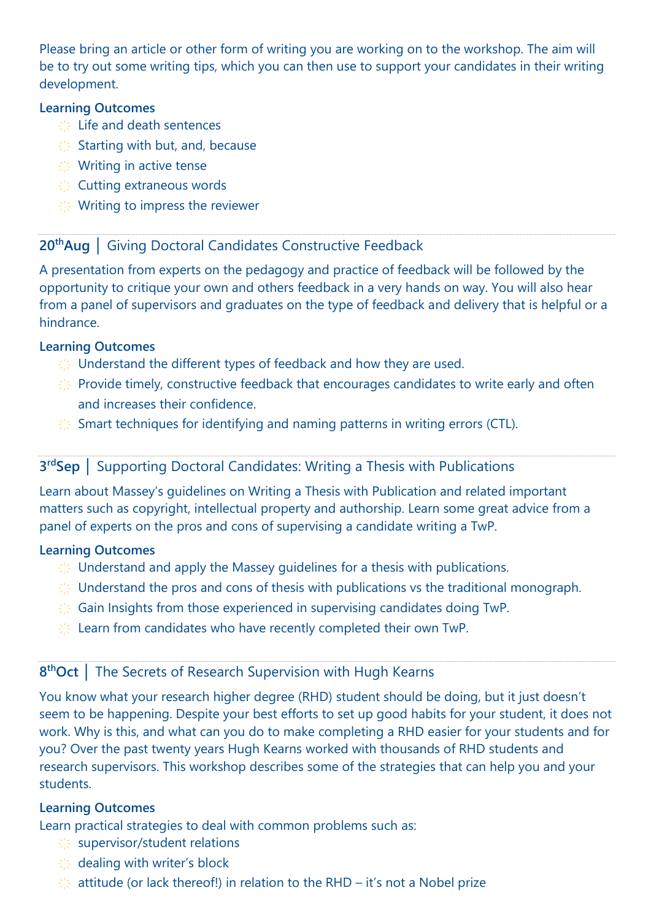Please bring an article or other form of writing you are working on to the workshop. The aim will be to try out some writing tips, which you can then use to support your candidates in their writing development.

#### **Learning Outcomes**

- $\leq$  Life and death sentences
- $\frac{1}{2}$  Starting with but, and, because
- $\leq$  Writing in active tense
- $\leq$  Cutting extraneous words
- $\leq$  Writing to impress the reviewer

## **20thAug** │ Giving Doctoral Candidates Constructive Feedback

A presentation from experts on the pedagogy and practice of feedback will be followed by the opportunity to critique your own and others feedback in a very hands on way. You will also hear from a panel of supervisors and graduates on the type of feedback and delivery that is helpful or a hindrance.

### **Learning Outcomes**

- $\frac{1}{2}$  Understand the different types of feedback and how they are used.
- $\frac{1}{2}$ . Provide timely, constructive feedback that encourages candidates to write early and often and increases their confidence.
- $\frac{1}{2}$  Smart techniques for identifying and naming patterns in writing errors (CTL).

## **3 rdSep** │ Supporting Doctoral Candidates: Writing a Thesis with Publications

Learn about Massey's guidelines on Writing a Thesis with Publication and related important matters such as copyright, intellectual property and authorship. Learn some great advice from a panel of experts on the pros and cons of supervising a candidate writing a TwP.

## **Learning Outcomes**

- $\frac{1}{2}$  Understand and apply the Massey quidelines for a thesis with publications.
- $\frac{1}{2}$  Understand the pros and cons of thesis with publications vs the traditional monograph.
- $\frac{1}{2}$  Gain Insights from those experienced in supervising candidates doing TwP.
- $\frac{1}{2}$  Learn from candidates who have recently completed their own TwP.

## **8 thOct** │ The Secrets of Research Supervision with Hugh Kearns

You know what your research higher degree (RHD) student should be doing, but it just doesn't seem to be happening. Despite your best efforts to set up good habits for your student, it does not work. Why is this, and what can you do to make completing a RHD easier for your students and for you? Over the past twenty years Hugh Kearns worked with thousands of RHD students and research supervisors. This workshop describes some of the strategies that can help you and your students.

## **Learning Outcomes**

Learn practical strategies to deal with common problems such as:

- $\leq$  supervisor/student relations
- ҉ dealing with writer's block
- $\frac{1}{2}$  attitude (or lack thereof!) in relation to the RHD it's not a Nobel prize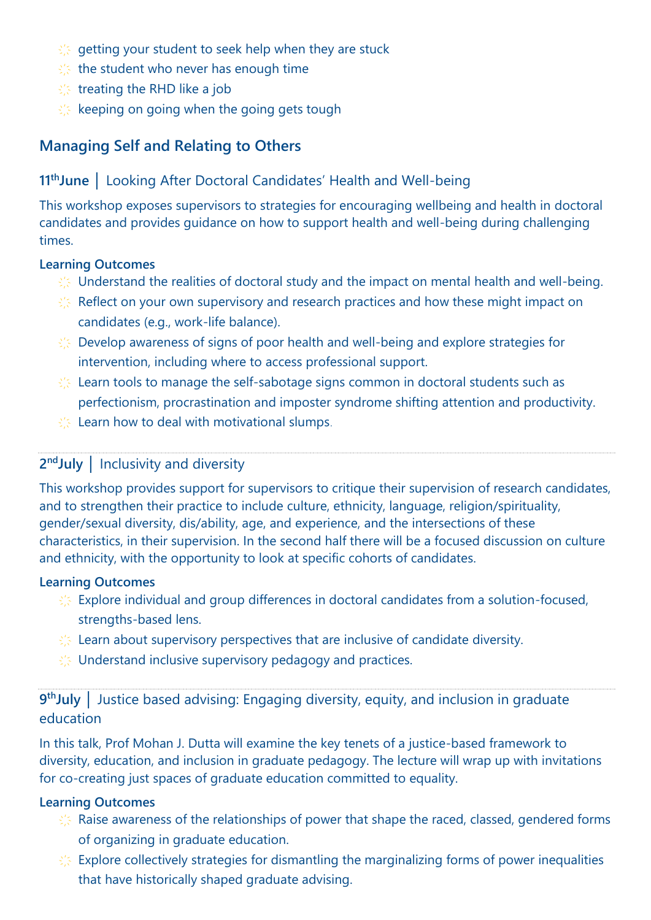- $\frac{1}{2}$  getting your student to seek help when they are stuck
- $\frac{1}{2}$  the student who never has enough time
- $\leq$  treating the RHD like a job
- $\frac{1}{2}$  keeping on going when the going gets tough

# **Managing Self and Relating to Others**

## **11thJune** │ Looking After Doctoral Candidates' Health and Well-being

This workshop exposes supervisors to strategies for encouraging wellbeing and health in doctoral candidates and provides guidance on how to support health and well-being during challenging times.

#### **Learning Outcomes**

- $\leq$  Understand the realities of doctoral study and the impact on mental health and well-being.
- $\frac{1}{2}$ . Reflect on your own supervisory and research practices and how these might impact on candidates (e.g., work-life balance).
- $\frac{1}{2}$  Develop awareness of signs of poor health and well-being and explore strategies for intervention, including where to access professional support.
- $\frac{1}{2}$  Learn tools to manage the self-sabotage signs common in doctoral students such as perfectionism, procrastination and imposter syndrome shifting attention and productivity.
- $\frac{1}{2}$  Learn how to deal with motivational slumps.

## **2 ndJuly** │ Inclusivity and diversity

This workshop provides support for supervisors to critique their supervision of research candidates, and to strengthen their practice to include culture, ethnicity, language, religion/spirituality, gender/sexual diversity, dis/ability, age, and experience, and the intersections of these characteristics, in their supervision. In the second half there will be a focused discussion on culture and ethnicity, with the opportunity to look at specific cohorts of candidates.

#### **Learning Outcomes**

- $\frac{1}{2}$  Explore individual and group differences in doctoral candidates from a solution-focused, strengths-based lens.
- $\frac{1}{2}$  Learn about supervisory perspectives that are inclusive of candidate diversity.
- $\frac{1}{2}$  Understand inclusive supervisory pedagogy and practices.

# **9<sup>th</sup>July** │ Justice based advising: Engaging diversity, equity, and inclusion in graduate education

In this talk, Prof Mohan J. Dutta will examine the key tenets of a justice-based framework to diversity, education, and inclusion in graduate pedagogy. The lecture will wrap up with invitations for co-creating just spaces of graduate education committed to equality.

#### **Learning Outcomes**

- $\frac{1}{2}$  Raise awareness of the relationships of power that shape the raced, classed, gendered forms of organizing in graduate education.
- $\frac{1}{2}$  Explore collectively strategies for dismantling the marginalizing forms of power inequalities that have historically shaped graduate advising.